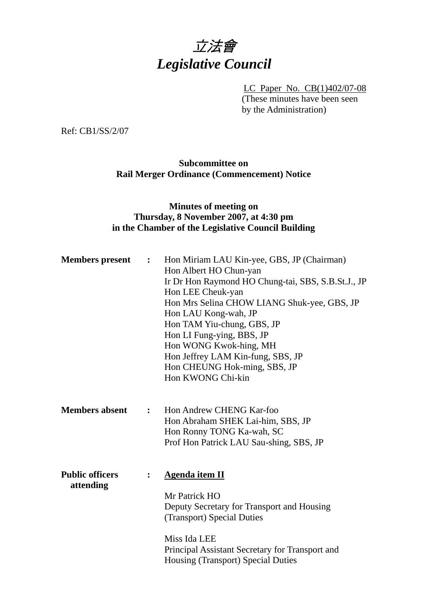

LC Paper No. CB(1)402/07-08 (These minutes have been seen by the Administration)

Ref: CB1/SS/2/07

# **Subcommittee on Rail Merger Ordinance (Commencement) Notice**

## **Minutes of meeting on Thursday, 8 November 2007, at 4:30 pm in the Chamber of the Legislative Council Building**

| <b>Members</b> present              | $\ddot{\cdot}$ | Hon Miriam LAU Kin-yee, GBS, JP (Chairman)<br>Hon Albert HO Chun-yan<br>Ir Dr Hon Raymond HO Chung-tai, SBS, S.B.St.J., JP<br>Hon LEE Cheuk-yan<br>Hon Mrs Selina CHOW LIANG Shuk-yee, GBS, JP<br>Hon LAU Kong-wah, JP<br>Hon TAM Yiu-chung, GBS, JP<br>Hon LI Fung-ying, BBS, JP<br>Hon WONG Kwok-hing, MH<br>Hon Jeffrey LAM Kin-fung, SBS, JP<br>Hon CHEUNG Hok-ming, SBS, JP<br>Hon KWONG Chi-kin |
|-------------------------------------|----------------|-------------------------------------------------------------------------------------------------------------------------------------------------------------------------------------------------------------------------------------------------------------------------------------------------------------------------------------------------------------------------------------------------------|
| <b>Members absent</b>               | $\ddot{\cdot}$ | Hon Andrew CHENG Kar-foo<br>Hon Abraham SHEK Lai-him, SBS, JP<br>Hon Ronny TONG Ka-wah, SC<br>Prof Hon Patrick LAU Sau-shing, SBS, JP                                                                                                                                                                                                                                                                 |
| <b>Public officers</b><br>attending | :              | <b>Agenda item II</b><br>Mr Patrick HO<br>Deputy Secretary for Transport and Housing<br>(Transport) Special Duties<br>Miss Ida LEE<br>Principal Assistant Secretary for Transport and<br><b>Housing (Transport) Special Duties</b>                                                                                                                                                                    |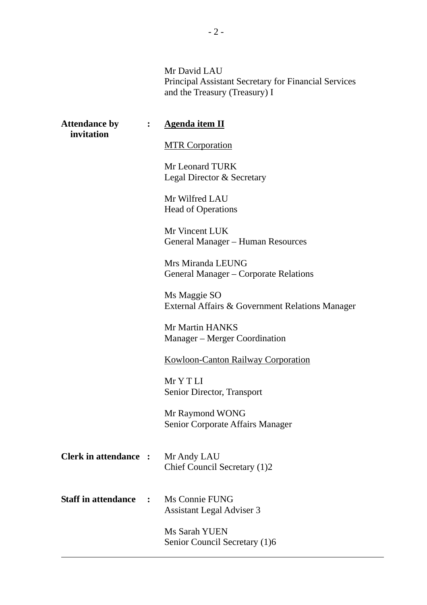Mr David LAU Principal Assistant Secretary for Financial Services and the Treasury (Treasury) I

| <b>Attendance by</b><br>invitation |                | <b>Agenda item II</b>                                           |
|------------------------------------|----------------|-----------------------------------------------------------------|
|                                    |                | <b>MTR Corporation</b>                                          |
|                                    |                | Mr Leonard TURK<br>Legal Director & Secretary                   |
|                                    |                | Mr Wilfred LAU<br><b>Head of Operations</b>                     |
|                                    |                | Mr Vincent LUK<br>General Manager - Human Resources             |
|                                    |                | Mrs Miranda LEUNG<br>General Manager – Corporate Relations      |
|                                    |                | Ms Maggie SO<br>External Affairs & Government Relations Manager |
|                                    |                | Mr Martin HANKS<br>Manager – Merger Coordination                |
|                                    |                | <b>Kowloon-Canton Railway Corporation</b>                       |
|                                    |                | Mr Y T LI<br>Senior Director, Transport                         |
|                                    |                | Mr Raymond WONG<br>Senior Corporate Affairs Manager             |
| <b>Clerk in attendance :</b>       |                | Mr Andy LAU<br>Chief Council Secretary (1)2                     |
| <b>Staff in attendance</b>         | $\ddot{\cdot}$ | Ms Connie FUNG<br><b>Assistant Legal Adviser 3</b>              |
|                                    |                | Ms Sarah YUEN<br>Senior Council Secretary (1)6                  |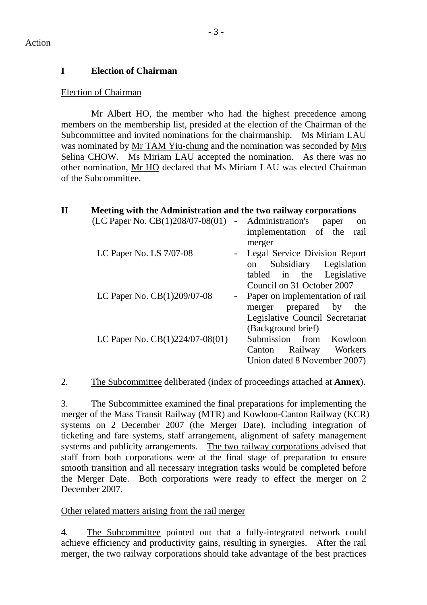# **I Election of Chairman**

### Election of Chairman

 Mr Albert HO, the member who had the highest precedence among members on the membership list, presided at the election of the Chairman of the Subcommittee and invited nominations for the chairmanship. Ms Miriam LAU was nominated by Mr TAM Yiu-chung and the nomination was seconded by Mrs Selina CHOW. Ms Miriam LAU accepted the nomination. As there was no other nomination, Mr HO declared that Ms Miriam LAU was elected Chairman of the Subcommittee.

| $\mathbf{I}$ | Meeting with the Administration and the two railway corporations |                |                                      |
|--------------|------------------------------------------------------------------|----------------|--------------------------------------|
|              | $(LC$ Paper No. $CB(1)208/07-08(01)$ - Administration's          |                | paper<br>on                          |
|              |                                                                  |                | implementation of the rail<br>merger |
|              | LC Paper No. LS 7/07-08                                          |                | Legal Service Division Report        |
|              |                                                                  |                | Subsidiary Legislation<br>on         |
|              |                                                                  |                | tabled in the Legislative            |
|              |                                                                  |                | Council on 31 October 2007           |
|              | LC Paper No. CB(1)209/07-08                                      | $\blacksquare$ | Paper on implementation of rail      |
|              |                                                                  |                | merger prepared by the               |
|              |                                                                  |                | Legislative Council Secretariat      |
|              |                                                                  |                | (Background brief)                   |
|              | LC Paper No. $CB(1)224/07-08(01)$                                |                | Submission from Kowloon              |
|              |                                                                  |                | Railway<br>Workers<br>Canton         |
|              |                                                                  |                | Union dated 8 November 2007)         |

2. The Subcommittee deliberated (index of proceedings attached at **Annex**).

3. The Subcommittee examined the final preparations for implementing the merger of the Mass Transit Railway (MTR) and Kowloon-Canton Railway (KCR) systems on 2 December 2007 (the Merger Date), including integration of ticketing and fare systems, staff arrangement, alignment of safety management systems and publicity arrangements. The two railway corporations advised that staff from both corporations were at the final stage of preparation to ensure smooth transition and all necessary integration tasks would be completed before the Merger Date. Both corporations were ready to effect the merger on 2 December 2007.

Other related matters arising from the rail merger

4. The Subcommittee pointed out that a fully-integrated network could achieve efficiency and productivity gains, resulting in synergies. After the rail merger, the two railway corporations should take advantage of the best practices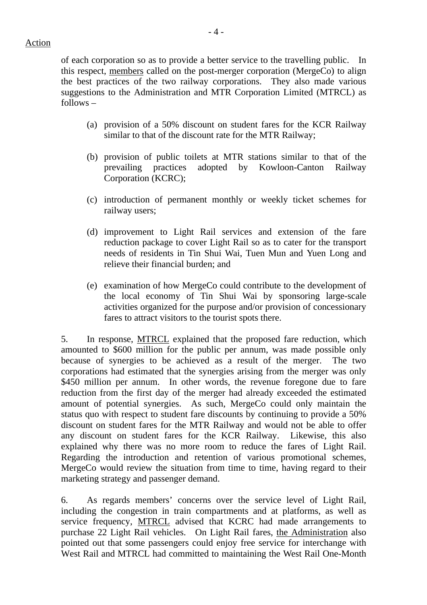#### Action

of each corporation so as to provide a better service to the travelling public. In this respect, members called on the post-merger corporation (MergeCo) to align the best practices of the two railway corporations. They also made various suggestions to the Administration and MTR Corporation Limited (MTRCL) as follows –

- (a) provision of a 50% discount on student fares for the KCR Railway similar to that of the discount rate for the MTR Railway;
- (b) provision of public toilets at MTR stations similar to that of the prevailing practices adopted by Kowloon-Canton Railway Corporation (KCRC);
- (c) introduction of permanent monthly or weekly ticket schemes for railway users;
- (d) improvement to Light Rail services and extension of the fare reduction package to cover Light Rail so as to cater for the transport needs of residents in Tin Shui Wai, Tuen Mun and Yuen Long and relieve their financial burden; and
- (e) examination of how MergeCo could contribute to the development of the local economy of Tin Shui Wai by sponsoring large-scale activities organized for the purpose and/or provision of concessionary fares to attract visitors to the tourist spots there.

5. In response, MTRCL explained that the proposed fare reduction, which amounted to \$600 million for the public per annum, was made possible only because of synergies to be achieved as a result of the merger. The two corporations had estimated that the synergies arising from the merger was only \$450 million per annum. In other words, the revenue foregone due to fare reduction from the first day of the merger had already exceeded the estimated amount of potential synergies. As such, MergeCo could only maintain the status quo with respect to student fare discounts by continuing to provide a 50% discount on student fares for the MTR Railway and would not be able to offer any discount on student fares for the KCR Railway. Likewise, this also explained why there was no more room to reduce the fares of Light Rail. Regarding the introduction and retention of various promotional schemes, MergeCo would review the situation from time to time, having regard to their marketing strategy and passenger demand.

6. As regards members' concerns over the service level of Light Rail, including the congestion in train compartments and at platforms, as well as service frequency, MTRCL advised that KCRC had made arrangements to purchase 22 Light Rail vehicles. On Light Rail fares, the Administration also pointed out that some passengers could enjoy free service for interchange with West Rail and MTRCL had committed to maintaining the West Rail One-Month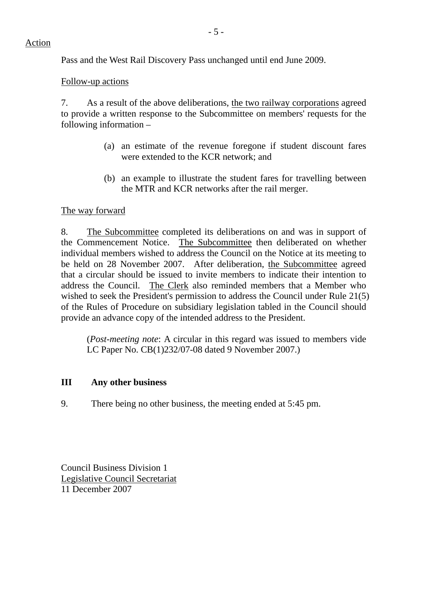Pass and the West Rail Discovery Pass unchanged until end June 2009.

### Follow-up actions

7. As a result of the above deliberations, the two railway corporations agreed to provide a written response to the Subcommittee on members' requests for the following information –

- (a) an estimate of the revenue foregone if student discount fares were extended to the KCR network; and
- (b) an example to illustrate the student fares for travelling between the MTR and KCR networks after the rail merger.

### The way forward

8. The Subcommittee completed its deliberations on and was in support of the Commencement Notice. The Subcommittee then deliberated on whether individual members wished to address the Council on the Notice at its meeting to be held on 28 November 2007. After deliberation, the Subcommittee agreed that a circular should be issued to invite members to indicate their intention to address the Council. The Clerk also reminded members that a Member who wished to seek the President's permission to address the Council under Rule 21(5) of the Rules of Procedure on subsidiary legislation tabled in the Council should provide an advance copy of the intended address to the President.

(*Post-meeting note*: A circular in this regard was issued to members vide LC Paper No. CB(1)232/07-08 dated 9 November 2007.)

## **III Any other business**

9. There being no other business, the meeting ended at 5:45 pm.

Council Business Division 1 Legislative Council Secretariat 11 December 2007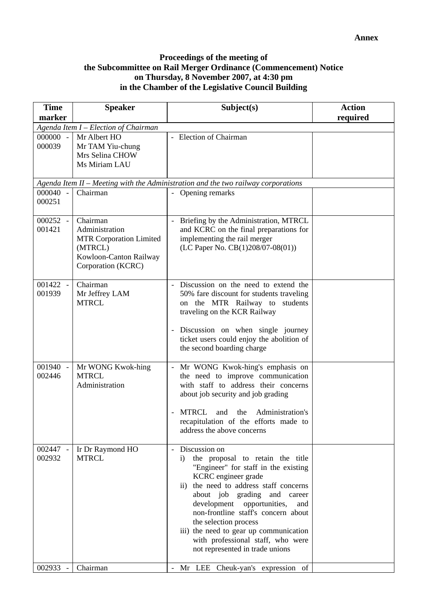### **Proceedings of the meeting of the Subcommittee on Rail Merger Ordinance (Commencement) Notice on Thursday, 8 November 2007, at 4:30 pm in the Chamber of the Legislative Council Building**

| <b>Time</b><br>marker | <b>Speaker</b>                                                                                                          | Subject(s)                                                                                                                                                                                                                                                                                                                                                                                                                        | <b>Action</b><br>required |  |  |
|-----------------------|-------------------------------------------------------------------------------------------------------------------------|-----------------------------------------------------------------------------------------------------------------------------------------------------------------------------------------------------------------------------------------------------------------------------------------------------------------------------------------------------------------------------------------------------------------------------------|---------------------------|--|--|
|                       | Agenda Item I - Election of Chairman                                                                                    |                                                                                                                                                                                                                                                                                                                                                                                                                                   |                           |  |  |
| 000000 -<br>000039    | Mr Albert HO<br>Mr TAM Yiu-chung<br>Mrs Selina CHOW<br>Ms Miriam LAU                                                    | - Election of Chairman                                                                                                                                                                                                                                                                                                                                                                                                            |                           |  |  |
|                       |                                                                                                                         | Agenda Item II - Meeting with the Administration and the two railway corporations                                                                                                                                                                                                                                                                                                                                                 |                           |  |  |
| 000040 -<br>000251    | Chairman                                                                                                                | - Opening remarks                                                                                                                                                                                                                                                                                                                                                                                                                 |                           |  |  |
| 000252 -<br>001421    | Chairman<br>Administration<br><b>MTR Corporation Limited</b><br>(MTRCL)<br>Kowloon-Canton Railway<br>Corporation (KCRC) | Briefing by the Administration, MTRCL<br>$\blacksquare$<br>and KCRC on the final preparations for<br>implementing the rail merger<br>(LC Paper No. CB(1)208/07-08(01))                                                                                                                                                                                                                                                            |                           |  |  |
| 001422 -<br>001939    | Chairman<br>Mr Jeffrey LAM<br><b>MTRCL</b>                                                                              | Discussion on the need to extend the<br>50% fare discount for students traveling<br>on the MTR Railway to students<br>traveling on the KCR Railway<br>Discussion on when single journey<br>ticket users could enjoy the abolition of<br>the second boarding charge                                                                                                                                                                |                           |  |  |
| 001940 -<br>002446    | Mr WONG Kwok-hing<br><b>MTRCL</b><br>Administration                                                                     | Mr WONG Kwok-hing's emphasis on<br>$\overline{\phantom{a}}$<br>the need to improve communication<br>with staff to address their concerns<br>about job security and job grading<br>Administration's<br>MTRCL<br>the<br>and<br>recapitulation of the efforts made to<br>address the above concerns                                                                                                                                  |                           |  |  |
| 002447 -<br>002932    | Ir Dr Raymond HO<br><b>MTRCL</b>                                                                                        | Discussion on<br>the proposal to retain the title<br>$\mathbf{i}$<br>"Engineer" for staff in the existing<br>KCRC engineer grade<br>ii) the need to address staff concerns<br>about job grading and career<br>development opportunities,<br>and<br>non-frontline staff's concern about<br>the selection process<br>iii) the need to gear up communication<br>with professional staff, who were<br>not represented in trade unions |                           |  |  |
| 002933 -              | Chairman                                                                                                                | Mr LEE Cheuk-yan's expression of                                                                                                                                                                                                                                                                                                                                                                                                  |                           |  |  |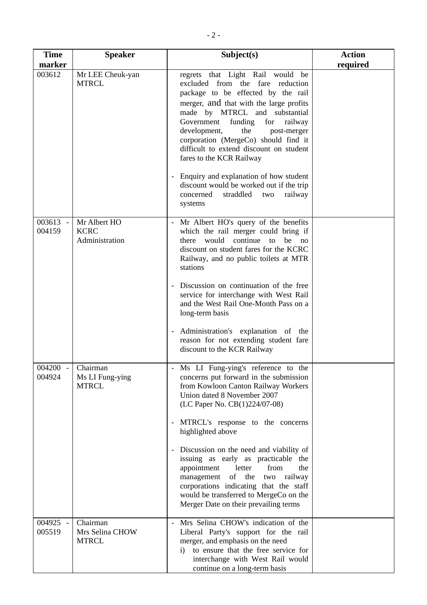| <b>Time</b><br>marker | <b>Speaker</b>                                | Subject(s)                                                                                                                                                                                                                                                                                                                                                                                                                                                                                                                                                                   | <b>Action</b><br>required |
|-----------------------|-----------------------------------------------|------------------------------------------------------------------------------------------------------------------------------------------------------------------------------------------------------------------------------------------------------------------------------------------------------------------------------------------------------------------------------------------------------------------------------------------------------------------------------------------------------------------------------------------------------------------------------|---------------------------|
| 003612                | Mr LEE Cheuk-yan<br><b>MTRCL</b>              | regrets that Light Rail would be<br>excluded from the fare reduction<br>package to be effected by the rail<br>merger, and that with the large profits<br>made by MTRCL and substantial<br>funding<br>Government<br>for<br>railway<br>development,<br>the<br>post-merger<br>corporation (MergeCo) should find it<br>difficult to extend discount on student<br>fares to the KCR Railway<br>Enquiry and explanation of how student<br>Ξ.<br>discount would be worked out if the trip<br>concerned<br>straddled<br>railway<br>two                                               |                           |
| 003613 -<br>004159    | Mr Albert HO<br><b>KCRC</b><br>Administration | systems<br>Mr Albert HO's query of the benefits<br>which the rail merger could bring if<br>would continue to be no<br>there<br>discount on student fares for the KCRC<br>Railway, and no public toilets at MTR<br>stations<br>Discussion on continuation of the free<br>service for interchange with West Rail<br>and the West Rail One-Month Pass on a<br>long-term basis<br>Administration's explanation of the<br>Ξ.<br>reason for not extending student fare                                                                                                             |                           |
| 004200<br>004924      | Chairman<br>Ms LI Fung-ying<br><b>MTRCL</b>   | discount to the KCR Railway<br>Ms LI Fung-ying's reference to the<br>concerns put forward in the submission<br>from Kowloon Canton Railway Workers<br>Union dated 8 November 2007<br>(LC Paper No. CB(1)224/07-08)<br>MTRCL's response to the concerns<br>highlighted above<br>Discussion on the need and viability of<br>issuing as early as practicable the<br>appointment<br>letter<br>from<br>the<br>of the<br>railway<br>management<br>two<br>corporations indicating that the staff<br>would be transferred to MergeCo on the<br>Merger Date on their prevailing terms |                           |
| 004925 -<br>005519    | Chairman<br>Mrs Selina CHOW<br><b>MTRCL</b>   | Mrs Selina CHOW's indication of the<br>Liberal Party's support for the rail<br>merger, and emphasis on the need<br>to ensure that the free service for<br>$\bf{1)}$<br>interchange with West Rail would<br>continue on a long-term basis                                                                                                                                                                                                                                                                                                                                     |                           |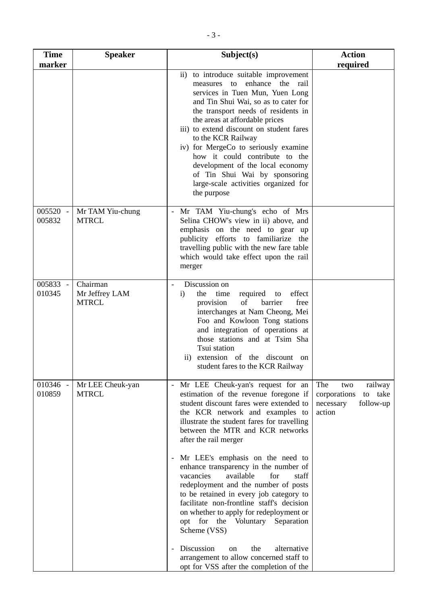| <b>Time</b>                | <b>Speaker</b>                             | Subject(s)                                                                                                                                                                                                                                                                                                                                                                                                                                                                                                                                                                                                                                                                                                                                                                                      | <b>Action</b>                                                                        |
|----------------------------|--------------------------------------------|-------------------------------------------------------------------------------------------------------------------------------------------------------------------------------------------------------------------------------------------------------------------------------------------------------------------------------------------------------------------------------------------------------------------------------------------------------------------------------------------------------------------------------------------------------------------------------------------------------------------------------------------------------------------------------------------------------------------------------------------------------------------------------------------------|--------------------------------------------------------------------------------------|
| marker                     |                                            | ii) to introduce suitable improvement<br>measures to enhance the rail<br>services in Tuen Mun, Yuen Long<br>and Tin Shui Wai, so as to cater for<br>the transport needs of residents in<br>the areas at affordable prices<br>iii) to extend discount on student fares<br>to the KCR Railway<br>iv) for MergeCo to seriously examine<br>how it could contribute to the<br>development of the local economy<br>of Tin Shui Wai by sponsoring<br>large-scale activities organized for<br>the purpose                                                                                                                                                                                                                                                                                               | required                                                                             |
| 005520<br>$\sim$<br>005832 | Mr TAM Yiu-chung<br><b>MTRCL</b>           | Mr TAM Yiu-chung's echo of Mrs<br>Selina CHOW's view in ii) above, and<br>emphasis on the need to gear up<br>publicity efforts to familiarize the<br>travelling public with the new fare table<br>which would take effect upon the rail<br>merger                                                                                                                                                                                                                                                                                                                                                                                                                                                                                                                                               |                                                                                      |
| 005833<br>$\sim$<br>010345 | Chairman<br>Mr Jeffrey LAM<br><b>MTRCL</b> | Discussion on<br>$\mathbf{i}$<br>the<br>time<br>required<br>effect<br>to<br>of<br>barrier<br>free<br>provision<br>interchanges at Nam Cheong, Mei<br>Foo and Kowloon Tong stations<br>and integration of operations at<br>those stations and at Tsim Sha<br>Tsui station<br>extension of the discount<br>11)<br>on<br>student fares to the KCR Railway                                                                                                                                                                                                                                                                                                                                                                                                                                          |                                                                                      |
| 010346 -<br>010859         | Mr LEE Cheuk-yan<br><b>MTRCL</b>           | Mr LEE Cheuk-yan's request for an<br>$\overline{\phantom{a}}$<br>estimation of the revenue foregone if<br>student discount fares were extended to<br>the KCR network and examples to<br>illustrate the student fares for travelling<br>between the MTR and KCR networks<br>after the rail merger<br>Mr LEE's emphasis on the need to<br>enhance transparency in the number of<br>available<br>vacancies<br>for<br>staff<br>redeployment and the number of posts<br>to be retained in every job category to<br>facilitate non-frontline staff's decision<br>on whether to apply for redeployment or<br>opt for the Voluntary Separation<br>Scheme (VSS)<br>Discussion<br>the<br>alternative<br>$_{\rm on}$<br>arrangement to allow concerned staff to<br>opt for VSS after the completion of the | The<br>railway<br>two<br>corporations<br>to take<br>follow-up<br>necessary<br>action |